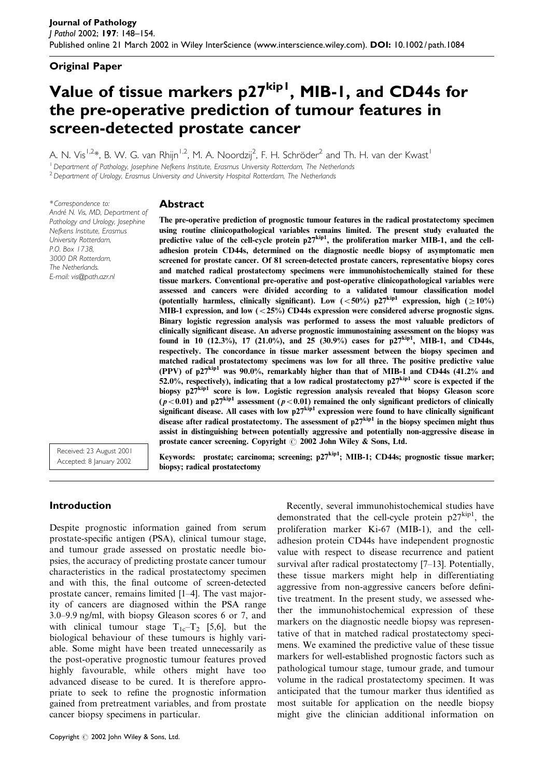## Original Paper

# Value of tissue markers p27<sup>kip1</sup>, MIB-1, and CD44s for the pre-operative prediction of tumour features in screen-detected prostate cancer

A. N. Vis $^{1,2}$ \*, B. W. G. van Rhijn $^{1,2}$ , M. A. Noordzij $^2$ , F. H. Schröder $^2$  and Th. H. van der Kwast $^1$ 

<sup>1</sup> Department of Pathology, Josephine Nefkens Institute, Erasmus University Rotterdam, The Netherlands

biopsy; radical prostatectomy

<sup>2</sup> Department of Urology, Erasmus University and University Hospital Rotterdam, The Netherlands

\* Correspondence to: André N. Vis, MD, Department of Pathology and Urology, Josephine Nefkens Institute, Erasmus University Rotterdam, P.O. Box 1738, 3000 DR Rotterdam, The Netherlands. E-mail: vis@path.azr.nl

## Abstract

The pre-operative prediction of prognostic tumour features in the radical prostatectomy specimen using routine clinicopathological variables remains limited. The present study evaluated the predictive value of the cell-cycle protein  $p27^{kip1}$ , the proliferation marker MIB-1, and the celladhesion protein CD44s, determined on the diagnostic needle biopsy of asymptomatic men screened for prostate cancer. Of 81 screen-detected prostate cancers, representative biopsy cores and matched radical prostatectomy specimens were immunohistochemically stained for these tissue markers. Conventional pre-operative and post-operative clinicopathological variables were assessed and cancers were divided according to a validated tumour classification model (potentially harmless, clinically significant). Low  $(<50\%)$  p27 $\text{kip1}$  expression, high  $(\geq 10\%)$ MIB-1 expression, and low  $\left( \langle 25\% \rangle \right)$  CD44s expression were considered adverse prognostic signs. Binary logistic regression analysis was performed to assess the most valuable predictors of clinically significant disease. An adverse prognostic immunostaining assessment on the biopsy was found in 10 (12.3%), 17 (21.0%), and 25 (30.9%) cases for  $p27^{kip1}$ , MIB-1, and CD44s, respectively. The concordance in tissue marker assessment between the biopsy specimen and matched radical prostatectomy specimens was low for all three. The positive predictive value (PPV) of  $p27^{kip1}$  was 90.0%, remarkably higher than that of MIB-1 and CD44s (41.2% and 52.0%, respectively), indicating that a low radical prostatectomy  $p27^{kip1}$  score is expected if the biopsy p27kip1 score is low. Logistic regression analysis revealed that biopsy Gleason score ( $p < 0.01$ ) and p27<sup>kip1</sup> assessment ( $p < 0.01$ ) remained the only significant predictors of clinically significant disease. All cases with low  $p27^{kip1}$  expression were found to have clinically significant disease after radical prostatectomy. The assessment of  $p27<sup>kip1</sup>$  in the biopsy specimen might thus assist in distinguishing between potentially aggressive and potentially non-aggressive disease in prostate cancer screening. Copyright  $\odot$  2002 John Wiley & Sons, Ltd.

Keywords: prostate; carcinoma; screening; p27kip1; MIB-1; CD44s; prognostic tissue marker;

Received: 23 August 2001 Accepted: 8 January 2002

# Introduction

Despite prognostic information gained from serum prostate-specific antigen (PSA), clinical tumour stage, and tumour grade assessed on prostatic needle biopsies, the accuracy of predicting prostate cancer tumour characteristics in the radical prostatectomy specimen and with this, the final outcome of screen-detected prostate cancer, remains limited [1–4]. The vast majority of cancers are diagnosed within the PSA range 3.0–9.9 ng/ml, with biopsy Gleason scores 6 or 7, and with clinical tumour stage  $T_{1c}-T_2$  [5,6], but the biological behaviour of these tumours is highly variable. Some might have been treated unnecessarily as the post-operative prognostic tumour features proved highly favourable, while others might have too advanced disease to be cured. It is therefore appropriate to seek to refine the prognostic information gained from pretreatment variables, and from prostate cancer biopsy specimens in particular.

Recently, several immunohistochemical studies have demonstrated that the cell-cycle protein  $p27^{kip1}$ , the proliferation marker Ki-67 (MIB-1), and the celladhesion protein CD44s have independent prognostic value with respect to disease recurrence and patient survival after radical prostatectomy [7–13]. Potentially, these tissue markers might help in differentiating aggressive from non-aggressive cancers before definitive treatment. In the present study, we assessed whether the immunohistochemical expression of these markers on the diagnostic needle biopsy was representative of that in matched radical prostatectomy specimens. We examined the predictive value of these tissue markers for well-established prognostic factors such as pathological tumour stage, tumour grade, and tumour volume in the radical prostatectomy specimen. It was anticipated that the tumour marker thus identified as most suitable for application on the needle biopsy might give the clinician additional information on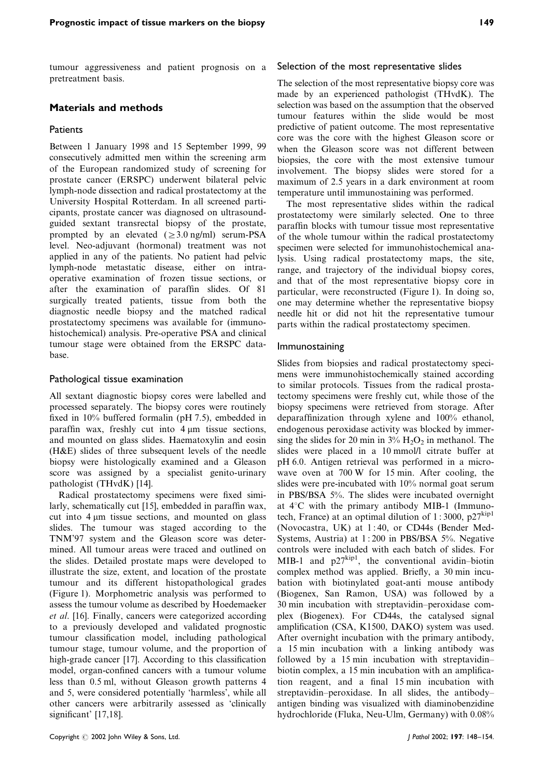tumour aggressiveness and patient prognosis on a pretreatment basis.

#### Materials and methods

#### **Patients**

Between 1 January 1998 and 15 September 1999, 99 consecutively admitted men within the screening arm of the European randomized study of screening for prostate cancer (ERSPC) underwent bilateral pelvic lymph-node dissection and radical prostatectomy at the University Hospital Rotterdam. In all screened participants, prostate cancer was diagnosed on ultrasoundguided sextant transrectal biopsy of the prostate, prompted by an elevated  $( \geq 3.0$  ng/ml) serum-PSA level. Neo-adjuvant (hormonal) treatment was not applied in any of the patients. No patient had pelvic lymph-node metastatic disease, either on intraoperative examination of frozen tissue sections, or after the examination of paraffin slides. Of 81 surgically treated patients, tissue from both the diagnostic needle biopsy and the matched radical prostatectomy specimens was available for (immunohistochemical) analysis. Pre-operative PSA and clinical tumour stage were obtained from the ERSPC database.

#### Pathological tissue examination

All sextant diagnostic biopsy cores were labelled and processed separately. The biopsy cores were routinely fixed in 10% buffered formalin (pH 7.5), embedded in paraffin wax, freshly cut into  $4 \mu m$  tissue sections, and mounted on glass slides. Haematoxylin and eosin (H&E) slides of three subsequent levels of the needle biopsy were histologically examined and a Gleason score was assigned by a specialist genito-urinary pathologist (THvdK) [14].

Radical prostatectomy specimens were fixed similarly, schematically cut [15], embedded in paraffin wax, cut into  $4 \mu m$  tissue sections, and mounted on glass slides. The tumour was staged according to the TNM'97 system and the Gleason score was determined. All tumour areas were traced and outlined on the slides. Detailed prostate maps were developed to illustrate the size, extent, and location of the prostate tumour and its different histopathological grades (Figure 1). Morphometric analysis was performed to assess the tumour volume as described by Hoedemaeker et al. [16]. Finally, cancers were categorized according to a previously developed and validated prognostic tumour classification model, including pathological tumour stage, tumour volume, and the proportion of high-grade cancer [17]. According to this classification model, organ-confined cancers with a tumour volume less than 0.5 ml, without Gleason growth patterns 4 and 5, were considered potentially 'harmless', while all other cancers were arbitrarily assessed as 'clinically significant' [17,18].

#### Selection of the most representative slides

The selection of the most representative biopsy core was made by an experienced pathologist (THvdK). The selection was based on the assumption that the observed tumour features within the slide would be most predictive of patient outcome. The most representative core was the core with the highest Gleason score or when the Gleason score was not different between biopsies, the core with the most extensive tumour involvement. The biopsy slides were stored for a maximum of 2.5 years in a dark environment at room temperature until immunostaining was performed.

The most representative slides within the radical prostatectomy were similarly selected. One to three paraffin blocks with tumour tissue most representative of the whole tumour within the radical prostatectomy specimen were selected for immunohistochemical analysis. Using radical prostatectomy maps, the site, range, and trajectory of the individual biopsy cores, and that of the most representative biopsy core in particular, were reconstructed (Figure 1). In doing so, one may determine whether the representative biopsy needle hit or did not hit the representative tumour parts within the radical prostatectomy specimen.

#### Immunostaining

Slides from biopsies and radical prostatectomy specimens were immunohistochemically stained according to similar protocols. Tissues from the radical prostatectomy specimens were freshly cut, while those of the biopsy specimens were retrieved from storage. After deparaffinization through xylene and 100% ethanol, endogenous peroxidase activity was blocked by immersing the slides for 20 min in  $3\%$  H<sub>2</sub>O<sub>2</sub> in methanol. The slides were placed in a 10 mmol/l citrate buffer at pH 6.0. Antigen retrieval was performed in a microwave oven at 700 W for 15 min. After cooling, the slides were pre-incubated with 10% normal goat serum in PBS/BSA 5%. The slides were incubated overnight at  $4^{\circ}$ C with the primary antibody MIB-1 (Immunotech, France) at an optimal dilution of 1:3000,  $p27^{kip1}$ (Novocastra, UK) at 1 : 40, or CD44s (Bender Med-Systems, Austria) at 1 : 200 in PBS/BSA 5%. Negative controls were included with each batch of slides. For MIB-1 and  $p27^{kip1}$ , the conventional avidin–biotin complex method was applied. Briefly, a 30 min incubation with biotinylated goat-anti mouse antibody (Biogenex, San Ramon, USA) was followed by a 30 min incubation with streptavidin–peroxidase complex (Biogenex). For CD44s, the catalysed signal amplification (CSA, K1500, DAKO) system was used. After overnight incubation with the primary antibody, a 15 min incubation with a linking antibody was followed by a 15 min incubation with streptavidin– biotin complex, a 15 min incubation with an amplification reagent, and a final 15 min incubation with streptavidin–peroxidase. In all slides, the antibody– antigen binding was visualized with diaminobenzidine hydrochloride (Fluka, Neu-Ulm, Germany) with 0.08%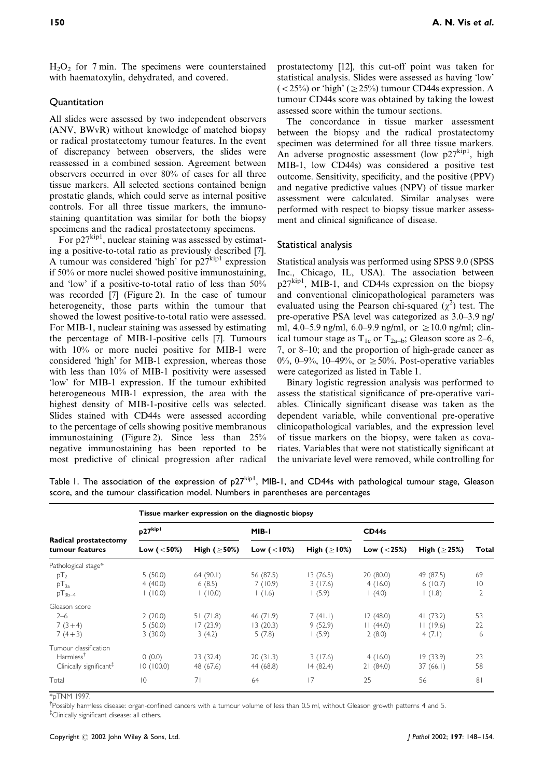<span id="page-2-0"></span> $H_2O_2$  for 7 min. The specimens were counterstained with haematoxylin, dehydrated, and covered.

#### **Quantitation**

All slides were assessed by two independent observers (ANV, BWvR) without knowledge of matched biopsy or radical prostatectomy tumour features. In the event of discrepancy between observers, the slides were reassessed in a combined session. Agreement between observers occurred in over 80% of cases for all three tissue markers. All selected sections contained benign prostatic glands, which could serve as internal positive controls. For all three tissue markers, the immunostaining quantitation was similar for both the biopsy specimens and the radical prostatectomy specimens.

For  $p27^{kip1}$ , nuclear staining was assessed by estimating a positive-to-total ratio as previously described [7]. A tumour was considered 'high' for  $p27^{kip1}$  expression if 50% or more nuclei showed positive immunostaining, and 'low' if a positive-to-total ratio of less than 50% was recorded [7] (Figure 2). In the case of tumour heterogeneity, those parts within the tumour that showed the lowest positive-to-total ratio were assessed. For MIB-1, nuclear staining was assessed by estimating the percentage of MIB-1-positive cells [7]. Tumours with 10% or more nuclei positive for MIB-1 were considered 'high' for MIB-1 expression, whereas those with less than 10% of MIB-1 positivity were assessed 'low' for MIB-1 expression. If the tumour exhibited heterogeneous MIB-1 expression, the area with the highest density of MIB-1-positive cells was selected. Slides stained with CD44s were assessed according to the percentage of cells showing positive membranous immunostaining (Figure 2). Since less than 25% negative immunostaining has been reported to be most predictive of clinical progression after radical

prostatectomy [12], this cut-off point was taken for statistical analysis. Slides were assessed as having 'low'  $(<25\%)$  or 'high' ( $\geq$ 25%) tumour CD44s expression. A tumour CD44s score was obtained by taking the lowest assessed score within the tumour sections.

The concordance in tissue marker assessment between the biopsy and the radical prostatectomy specimen was determined for all three tissue markers. An adverse prognostic assessment (low  $p27^{kip1}$ , high MIB-1, low CD44s) was considered a positive test outcome. Sensitivity, specificity, and the positive (PPV) and negative predictive values (NPV) of tissue marker assessment were calculated. Similar analyses were performed with respect to biopsy tissue marker assessment and clinical significance of disease.

#### Statistical analysis

Statistical analysis was performed using SPSS 9.0 (SPSS Inc., Chicago, IL, USA). The association between  $p27^{kip1}$ , MIB-1, and CD44s expression on the biopsy and conventional clinicopathological parameters was evaluated using the Pearson chi-squared  $(\chi^2)$  test. The pre-operative PSA level was categorized as 3.0–3.9 ng/ ml, 4.0–5.9 ng/ml, 6.0–9.9 ng/ml, or  $\geq$  10.0 ng/ml; clinical tumour stage as  $T_{1c}$  or  $T_{2a-b}$ ; Gleason score as 2–6, 7, or 8–10; and the proportion of high-grade cancer as 0%, 0–9%, 10–49%, or  $\geq 50$ %. Post-operative variables were categorized as listed in Table 1.

Binary logistic regression analysis was performed to assess the statistical significance of pre-operative variables. Clinically significant disease was taken as the dependent variable, while conventional pre-operative clinicopathological variables, and the expression level of tissue markers on the biopsy, were taken as covariates. Variables that were not statistically significant at the univariate level were removed, while controlling for

Table I. The association of the expression of p27<sup>kip1</sup>, MIB-1, and CD44s with pathological tumour stage, Gleason score, and the tumour classification model. Numbers in parentheses are percentages

| Radical prostatectomy<br>tumour features | Tissue marker expression on the diagnostic biopsy |                    |                |                    |               |                    |                |  |
|------------------------------------------|---------------------------------------------------|--------------------|----------------|--------------------|---------------|--------------------|----------------|--|
|                                          | p27kip1                                           |                    | MIB-I          |                    | CD44s         |                    |                |  |
|                                          | Low $(< 50%)$                                     | High ( $\geq$ 50%) | Low $(< 10\%)$ | High ( $\geq$ 10%) | Low $(< 25%)$ | High ( $\geq$ 25%) | Total          |  |
| Pathological stage*                      |                                                   |                    |                |                    |               |                    |                |  |
| $pT_2$                                   | 5(50.0)                                           | 64(90.1)           | 56 (87.5)      | 13(76.5)           | 20(80.0)      | 49 (87.5)          | 69             |  |
| $pT_{3a}$                                | 4(40.0)                                           | 6(8.5)             | 7(10.9)        | 3(17.6)            | 4(16.0)       | 6(10.7)            | $ 0\rangle$    |  |
| $pT_{3b-4}$                              | (10.0)                                            | (10.0)             | (1.6)          | (5.9)              | (4.0)         | (1.8)              | $\overline{2}$ |  |
| Gleason score                            |                                                   |                    |                |                    |               |                    |                |  |
| $2 - 6$                                  | 2(20.0)                                           | 51(71.8)           | 46(71.9)       | 7(41.1)            | 12(48.0)      | 41(73.2)           | 53             |  |
| $7(3+4)$                                 | 5(50.0)                                           | 17(23.9)           | 13 (20.3)      | 9(52.9)            | 11(44.0)      | 11(19.6)           | 22             |  |
| $7(4+3)$                                 | 3(30.0)                                           | 3(4.2)             | 5(7.8)         | (5.9)              | 2(8.0)        | 4(7.1)             | 6              |  |
| Tumour classification                    |                                                   |                    |                |                    |               |                    |                |  |
| Harmless <sup>†</sup>                    | 0(0.0)                                            | 23(32.4)           | 20(31.3)       | 3(17.6)            | 4(16.0)       | 19(33.9)           | 23             |  |
| Clinically significant <sup>#</sup>      | 10(100.0)                                         | 48 (67.6)          | 44 (68.8)      | 14(82.4)           | 21(84.0)      | 37 (66.1)          | 58             |  |
| Total                                    | $\overline{0}$                                    | 71                 | 64             | 17                 | 25            | 56                 | 81             |  |

\*pTNM 1997.

<sup>†</sup>Possibly harmless disease: organ-confined cancers with a tumour volume of less than 0.5 ml, without Gleason growth patterns 4 and 5. { Clinically significant disease: all others.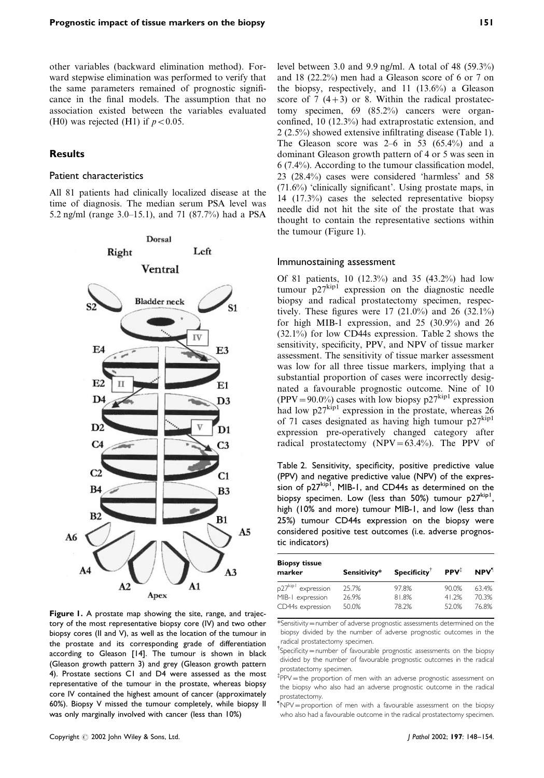<span id="page-3-0"></span>other variables (backward elimination method). Forward stepwise elimination was performed to verify that the same parameters remained of prognostic significance in the final models. The assumption that no association existed between the variables evaluated (H0) was rejected (H1) if  $p < 0.05$ .

#### **Results**

#### Patient characteristics

All 81 patients had clinically localized disease at the time of diagnosis. The median serum PSA level was 5.2 ng/ml (range 3.0–15.1), and 71 (87.7%) had a PSA



Figure I. A prostate map showing the site, range, and trajectory of the most representative biopsy core (IV) and two other biopsy cores (II and V), as well as the location of the tumour in the prostate and its corresponding grade of differentiation according to Gleason [14]. The tumour is shown in black (Gleason growth pattern 3) and grey (Gleason growth pattern 4). Prostate sections C1 and D4 were assessed as the most representative of the tumour in the prostate, whereas biopsy core IV contained the highest amount of cancer (approximately 60%). Biopsy V missed the tumour completely, while biopsy II was only marginally involved with cancer (less than 10%)

level between 3.0 and 9.9 ng/ml. A total of 48 (59.3%) and 18 (22.2%) men had a Gleason score of 6 or 7 on the biopsy, respectively, and 11 (13.6%) a Gleason score of 7  $(4+3)$  or 8. Within the radical prostatectomy specimen, 69 (85.2%) cancers were organconfined, 10 (12.3%) had extraprostatic extension, and 2 (2.5%) showed extensive infiltrating disease (Table [1\)](#page-2-0). The Gleason score was  $2-6$  in 53 (65.4%) and a dominant Gleason growth pattern of 4 or 5 was seen in 6 (7.4%). According to the tumour classification model, 23 (28.4%) cases were considered 'harmless' and 58 (71.6%) 'clinically significant'. Using prostate maps, in 14 (17.3%) cases the selected representative biopsy needle did not hit the site of the prostate that was thought to contain the representative sections within the tumour (Figure 1).

#### Immunostaining assessment

Of 81 patients, 10 (12.3%) and 35 (43.2%) had low tumour  $p27^{kip1}$  expression on the diagnostic needle biopsy and radical prostatectomy specimen, respectively. These figures were  $17$  (21.0%) and 26 (32.1%) for high MIB-1 expression, and 25 (30.9%) and 26 (32.1%) for low CD44s expression. Table 2 shows the sensitivity, specificity, PPV, and NPV of tissue marker assessment. The sensitivity of tissue marker assessment was low for all three tissue markers, implying that a substantial proportion of cases were incorrectly designated a favourable prognostic outcome. Nine of 10  $(PPV = 90.0\%)$  cases with low biopsy p27<sup>kip1</sup> expression had low  $p27^{kip1}$  expression in the prostate, whereas 26 of 71 cases designated as having high tumour  $p27^{kip1}$ expression pre-operatively changed category after radical prostatectomy (NPV= $63.4\%$ ). The PPV of

Table 2. Sensitivity, specificity, positive predictive value (PPV) and negative predictive value (NPV) of the expression of p27<sup>kip1</sup>, MIB-1, and CD44s as determined on the biopsy specimen. Low (less than 50%) tumour p27<sup>kip1</sup>, high (10% and more) tumour MIB-1, and low (less than 25%) tumour CD44s expression on the biopsy were considered positive test outcomes (i.e. adverse prognostic indicators)

| <b>Biopsy tissue</b><br>marker | Sensitivity* | <b>Specificity</b> | $PPV^{\ddagger}$ | <b>NPV</b> |
|--------------------------------|--------------|--------------------|------------------|------------|
| p27 <sup>kip1</sup> expression | 25.7%        | 97.8%              | 90.0%            | 63.4%      |
| MIB-1 expression               | 26.9%        | 81.8%              | 41.2%            | 70.3%      |
| CD44s expression               | 50.0%        | 78.2%              | 52.0%            | 76.8%      |

\*Sensitivity=number of adverse prognostic assessments determined on the biopsy divided by the number of adverse prognostic outcomes in the radical prostatectomy specimen.

<sup>†</sup>Specificity = number of favourable prognostic assessments on the biopsy divided by the number of favourable prognostic outcomes in the radical prostatectomy specimen.

{ PPV=the proportion of men with an adverse prognostic assessment on the biopsy who also had an adverse prognostic outcome in the radical prostatectomy.

<sup>1</sup>NPV = proportion of men with a favourable assessment on the biopsy who also had a favourable outcome in the radical prostatectomy specimen.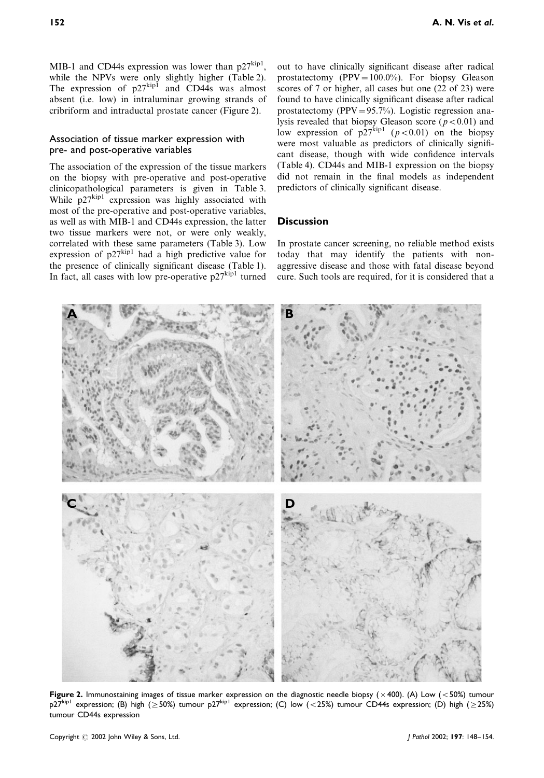MIB-1 and CD44s expression was lower than  $p27^{kip}$ . while the NPVs were only slightly higher (Table [2\)](#page-3-0). The expression of  $p27^{kip1}$  and CD44s was almost absent (i.e. low) in intraluminar growing strands of cribriform and intraductal prostate cancer (Figure 2).

#### Association of tissue marker expression with pre- and post-operative variables

The association of the expression of the tissue markers on the biopsy with pre-operative and post-operative clinicopathological parameters is given in Table [3](#page-5-0). While  $p27^{kip1}$  expression was highly associated with most of the pre-operative and post-operative variables, as well as with MIB-1 and CD44s expression, the latter two tissue markers were not, or were only weakly, correlated with these same parameters (Table [3\)](#page-5-0). Low expression of  $p27^{kip1}$  had a high predictive value for the presence of clinically significant disease (Table [1\)](#page-2-0). In fact, all cases with low pre-operative  $p27^{\text{kip-1}}$  turned

**A** B

out to have clinically significant disease after radical prostatectomy (PPV= $100.0\%$ ). For biopsy Gleason scores of 7 or higher, all cases but one (22 of 23) were found to have clinically significant disease after radical prostatectomy (PPV=95.7%). Logistic regression analysis revealed that biopsy Gleason score ( $p < 0.01$ ) and low expression of  $p27^{kip1}(p<0.01)$  on the biopsy were most valuable as predictors of clinically significant disease, though with wide confidence intervals (Table [4\)](#page-5-0). CD44s and MIB-1 expression on the biopsy did not remain in the final models as independent predictors of clinically significant disease.

#### **Discussion**

In prostate cancer screening, no reliable method exists today that may identify the patients with nonaggressive disease and those with fatal disease beyond cure. Such tools are required, for it is considered that a

**C D**

Figure 2. Immunostaining images of tissue marker expression on the diagnostic needle biopsy ( $\times$ 400). (A) Low (<50%) tumour  $p27^{kip}$  expression; (B) high ( $\geq$  50%) tumour p27kip1 expression; (C) low (<25%) tumour CD44s expression; (D) high ( $\geq$  25%) tumour CD44s expression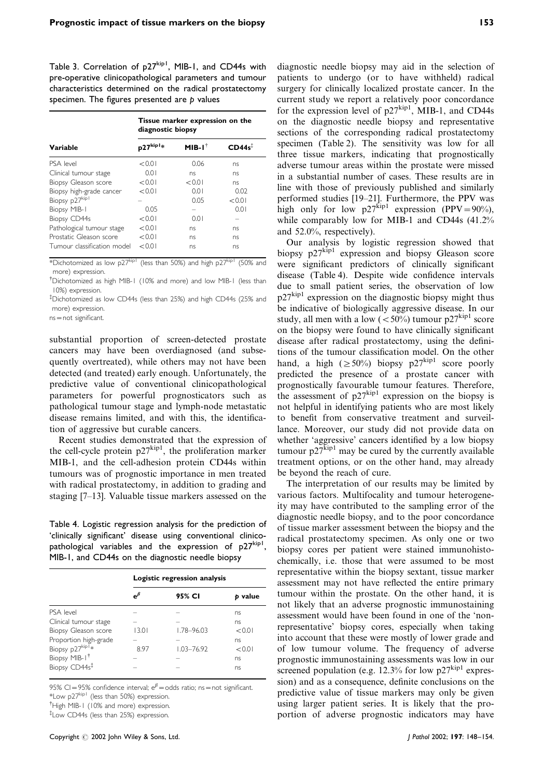<span id="page-5-0"></span>Table 3. Correlation of p27kip1, MIB-1, and CD44s with pre-operative clinicopathological parameters and tumour characteristics determined on the radical prostatectomy specimen. The figures presented are  $p$  values

|                             | Tissue marker expression on the<br>diagnostic biopsy |                   |           |  |  |
|-----------------------------|------------------------------------------------------|-------------------|-----------|--|--|
| Variable                    | $p27^{kip1*}$                                        | $MIB-I^{\dagger}$ | $CD44s^2$ |  |  |
| PSA level                   | < 0.01                                               | 0.06              | ns        |  |  |
| Clinical tumour stage       | 0.01                                                 | ns                | ns        |  |  |
| Biopsy Gleason score        | < 0.01                                               | < 0.01            | ns        |  |  |
| Biopsy high-grade cancer    | < 0.01                                               | 0.01              | 0.02      |  |  |
| Biopsy p27kip1              |                                                      | 0.05              | < 0.01    |  |  |
| Biopsy MIB-1                | 0.05                                                 |                   | 0.01      |  |  |
| <b>Biopsy CD44s</b>         | < 0.01                                               | 0.01              |           |  |  |
| Pathological tumour stage   | < 0.01                                               | ns                | ns        |  |  |
| Prostatic Gleason score     | < 0.01                                               | ns                | ns        |  |  |
| Tumour classification model | < 0.01                                               | ns                | ns        |  |  |

\*Dichotomized as low p27<sup>kip1</sup> (less than 50%) and high p27<sup>kip1</sup> (50% and more) expression.

<sup>†</sup>Dichotomized as high MIB-1 (10% and more) and low MIB-1 (less than 10%) expression.

{ Dichotomized as low CD44s (less than 25%) and high CD44s (25% and more) expression.

ns=not significant.

substantial proportion of screen-detected prostate cancers may have been overdiagnosed (and subsequently overtreated), while others may not have been detected (and treated) early enough. Unfortunately, the predictive value of conventional clinicopathological parameters for powerful prognosticators such as pathological tumour stage and lymph-node metastatic disease remains limited, and with this, the identification of aggressive but curable cancers.

Recent studies demonstrated that the expression of the cell-cycle protein  $p27^{kip}$ , the proliferation marker MIB-1, and the cell-adhesion protein CD44s within tumours was of prognostic importance in men treated with radical prostatectomy, in addition to grading and staging [7–13]. Valuable tissue markers assessed on the

Table 4. Logistic regression analysis for the prediction of 'clinically significant' disease using conventional clinicopathological variables and the expression of p27<sup>kip1</sup>, MIB-1, and CD44s on the diagnostic needle biopsy

|                           | Logistic regression analysis |                |         |
|---------------------------|------------------------------|----------------|---------|
|                           | $e^{\beta}$                  | 95% CI         | p value |
| PSA level                 |                              |                | ns      |
| Clinical tumour stage     |                              |                | ns      |
| Biopsy Gleason score      | 13.01                        | 1.78-96.03     | < 0.01  |
| Proportion high-grade     |                              |                | ns      |
| Biopsy p27kip1*           | 897                          | $1.03 - 76.92$ | < 0.01  |
| Biopsy MIB-1 <sup>†</sup> |                              |                | ns      |
| Biopsy CD44s <sup>‡</sup> |                              |                | ns      |

95% CI=95% confidence interval;  $e^{\beta}$ =odds ratio; ns=not significant. \*Low p27kip1 (less than 50%) expression.

<sup>†</sup> High MIB-1 (10% and more) expression.

{ Low CD44s (less than 25%) expression.

diagnostic needle biopsy may aid in the selection of patients to undergo (or to have withheld) radical surgery for clinically localized prostate cancer. In the current study we report a relatively poor concordance for the expression level of  $p27^{kip1}$ , MIB-1, and CD44s on the diagnostic needle biopsy and representative sections of the corresponding radical prostatectomy specimen (Table [2\)](#page-3-0). The sensitivity was low for all three tissue markers, indicating that prognostically adverse tumour areas within the prostate were missed in a substantial number of cases. These results are in line with those of previously published and similarly performed studies [19–21]. Furthermore, the PPV was high only for low  $p27^{kip1}$  expression (PPV=90%), while comparably low for MIB-1 and CD44s (41.2% and 52.0%, respectively).

Our analysis by logistic regression showed that biopsy p27kip1 expression and biopsy Gleason score were significant predictors of clinically significant disease (Table 4). Despite wide confidence intervals due to small patient series, the observation of low  $p27<sup>kip1</sup>$  expression on the diagnostic biopsy might thus be indicative of biologically aggressive disease. In our study, all men with a low  $(<50\%)$  tumour p27<sup>kip1</sup> score on the biopsy were found to have clinically significant disease after radical prostatectomy, using the definitions of the tumour classification model. On the other hand, a high ( $\geq$  50%) biopsy p27<sup>kip1</sup> score poorly predicted the presence of a prostate cancer with prognostically favourable tumour features. Therefore, the assessment of  $p27^{kip1}$  expression on the biopsy is not helpful in identifying patients who are most likely to benefit from conservative treatment and surveillance. Moreover, our study did not provide data on whether 'aggressive' cancers identified by a low biopsy tumour  $p27^{kip1}$  may be cured by the currently available treatment options, or on the other hand, may already be beyond the reach of cure.

The interpretation of our results may be limited by various factors. Multifocality and tumour heterogeneity may have contributed to the sampling error of the diagnostic needle biopsy, and to the poor concordance of tissue marker assessment between the biopsy and the radical prostatectomy specimen. As only one or two biopsy cores per patient were stained immunohistochemically, i.e. those that were assumed to be most representative within the biopsy sextant, tissue marker assessment may not have reflected the entire primary tumour within the prostate. On the other hand, it is not likely that an adverse prognostic immunostaining assessment would have been found in one of the 'nonrepresentative' biopsy cores, especially when taking into account that these were mostly of lower grade and of low tumour volume. The frequency of adverse prognostic immunostaining assessments was low in our screened population (e.g. 12.3% for low  $p27^{kip1}$  expression) and as a consequence, definite conclusions on the predictive value of tissue markers may only be given using larger patient series. It is likely that the proportion of adverse prognostic indicators may have